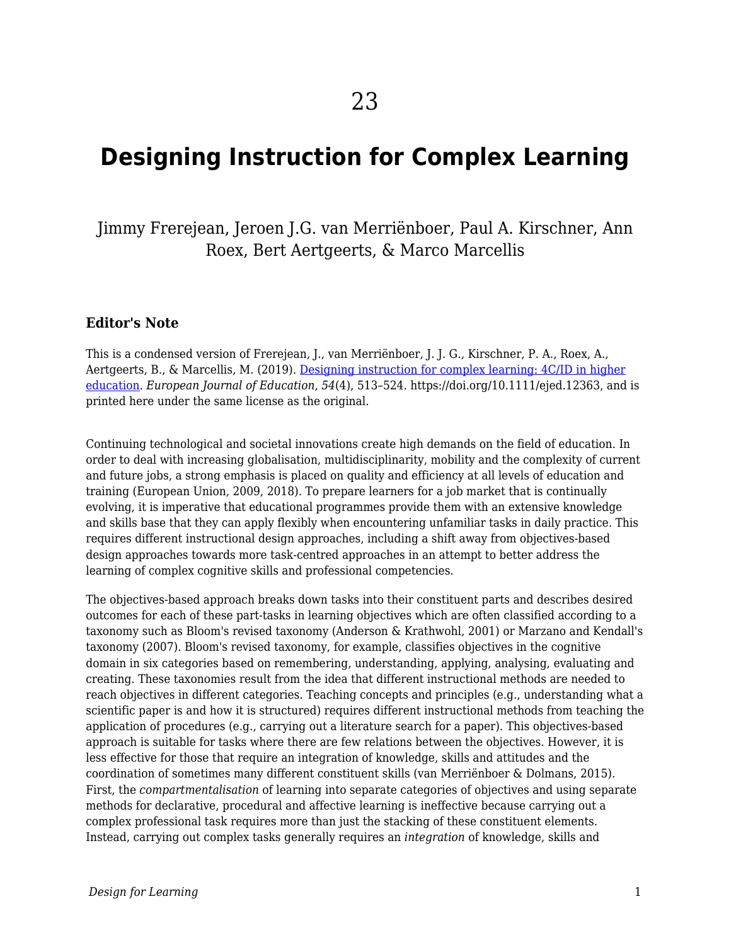# **Designing Instruction for Complex Learning**

Jimmy Frerejean, Jeroen J.G. van Merriënboer, Paul A. Kirschner, Ann Roex, Bert Aertgeerts, & Marco Marcellis

#### **Editor's Note**

This is a condensed version of Frerejean, J., van Merriënboer, J. J. G., Kirschner, P. A., Roex, A., Aertgeerts, B., & Marcellis, M. (2019). [Designing instruction for complex learning: 4C/ID in higher](https://onlinelibrary.wiley.com/doi/full/10.1111/ejed.12363) [education.](https://onlinelibrary.wiley.com/doi/full/10.1111/ejed.12363) *European Journal of Education*, *54*(4), 513–524. https://doi.org/10.1111/ejed.12363, and is printed here under the same license as the original.

Continuing technological and societal innovations create high demands on the field of education. In order to deal with increasing globalisation, multidisciplinarity, mobility and the complexity of current and future jobs, a strong emphasis is placed on quality and efficiency at all levels of education and training (European Union, 2009, 2018). To prepare learners for a job market that is continually evolving, it is imperative that educational programmes provide them with an extensive knowledge and skills base that they can apply flexibly when encountering unfamiliar tasks in daily practice. This requires different instructional design approaches, including a shift away from objectives‐based design approaches towards more task‐centred approaches in an attempt to better address the learning of complex cognitive skills and professional competencies.

The objectives‐based approach breaks down tasks into their constituent parts and describes desired outcomes for each of these part‐tasks in learning objectives which are often classified according to a taxonomy such as Bloom's revised taxonomy (Anderson & Krathwohl, 2001) or Marzano and Kendall's taxonomy (2007). Bloom's revised taxonomy, for example, classifies objectives in the cognitive domain in six categories based on remembering, understanding, applying, analysing, evaluating and creating. These taxonomies result from the idea that different instructional methods are needed to reach objectives in different categories. Teaching concepts and principles (e.g., understanding what a scientific paper is and how it is structured) requires different instructional methods from teaching the application of procedures (e.g., carrying out a literature search for a paper). This objectives‐based approach is suitable for tasks where there are few relations between the objectives. However, it is less effective for those that require an integration of knowledge, skills and attitudes and the coordination of sometimes many different constituent skills (van Merriënboer & Dolmans, 2015). First, the *compartmentalisation* of learning into separate categories of objectives and using separate methods for declarative, procedural and affective learning is ineffective because carrying out a complex professional task requires more than just the stacking of these constituent elements. Instead, carrying out complex tasks generally requires an *integration* of knowledge, skills and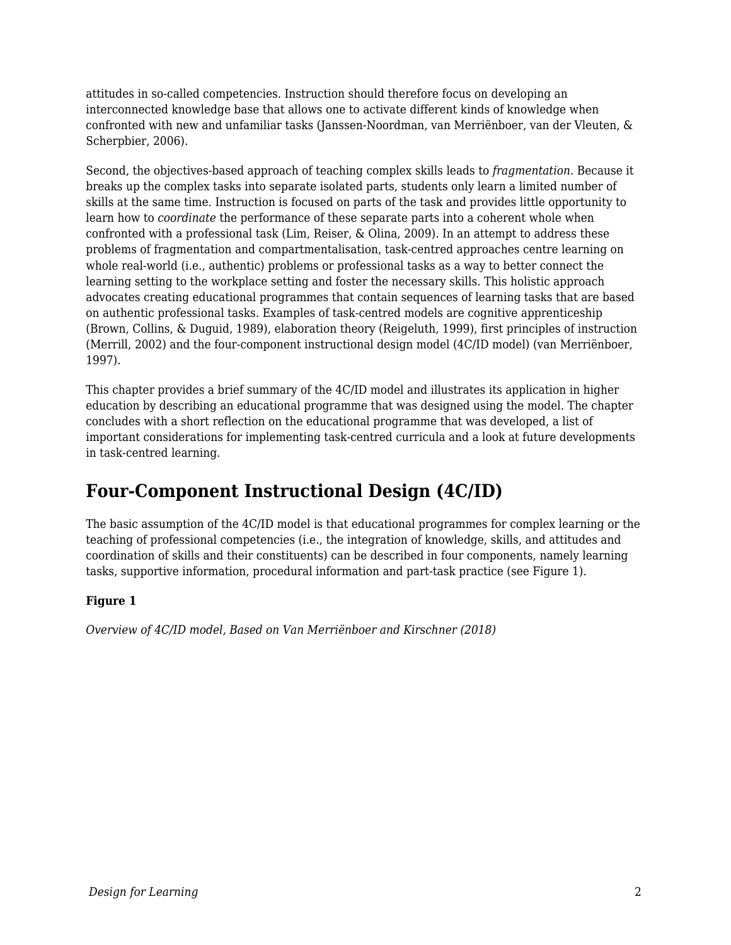attitudes in so‐called competencies. Instruction should therefore focus on developing an interconnected knowledge base that allows one to activate different kinds of knowledge when confronted with new and unfamiliar tasks (Janssen‐Noordman, van Merriënboer, van der Vleuten, & Scherpbier, 2006).

Second, the objectives‐based approach of teaching complex skills leads to *fragmentation*. Because it breaks up the complex tasks into separate isolated parts, students only learn a limited number of skills at the same time. Instruction is focused on parts of the task and provides little opportunity to learn how to *coordinate* the performance of these separate parts into a coherent whole when confronted with a professional task (Lim, Reiser, & Olina, 2009). In an attempt to address these problems of fragmentation and compartmentalisation, task‐centred approaches centre learning on whole real-world (i.e., authentic) problems or professional tasks as a way to better connect the learning setting to the workplace setting and foster the necessary skills. This holistic approach advocates creating educational programmes that contain sequences of learning tasks that are based on authentic professional tasks. Examples of task‐centred models are cognitive apprenticeship (Brown, Collins, & Duguid, 1989), elaboration theory (Reigeluth, 1999), first principles of instruction (Merrill, 2002) and the four‐component instructional design model (4C/ID model) (van Merriënboer, 1997).

This chapter provides a brief summary of the 4C/ID model and illustrates its application in higher education by describing an educational programme that was designed using the model. The chapter concludes with a short reflection on the educational programme that was developed, a list of important considerations for implementing task‐centred curricula and a look at future developments in task‐centred learning.

## **Four-Component Instructional Design (4C/ID)**

The basic assumption of the 4C/ID model is that educational programmes for complex learning or the teaching of professional competencies (i.e., the integration of knowledge, skills, and attitudes and coordination of skills and their constituents) can be described in four components, namely learning tasks, supportive information, procedural information and part‐task practice (see Figure 1).

#### **Figure 1**

*Overview of 4C/ID model, Based on Van Merriënboer and Kirschner (2018)*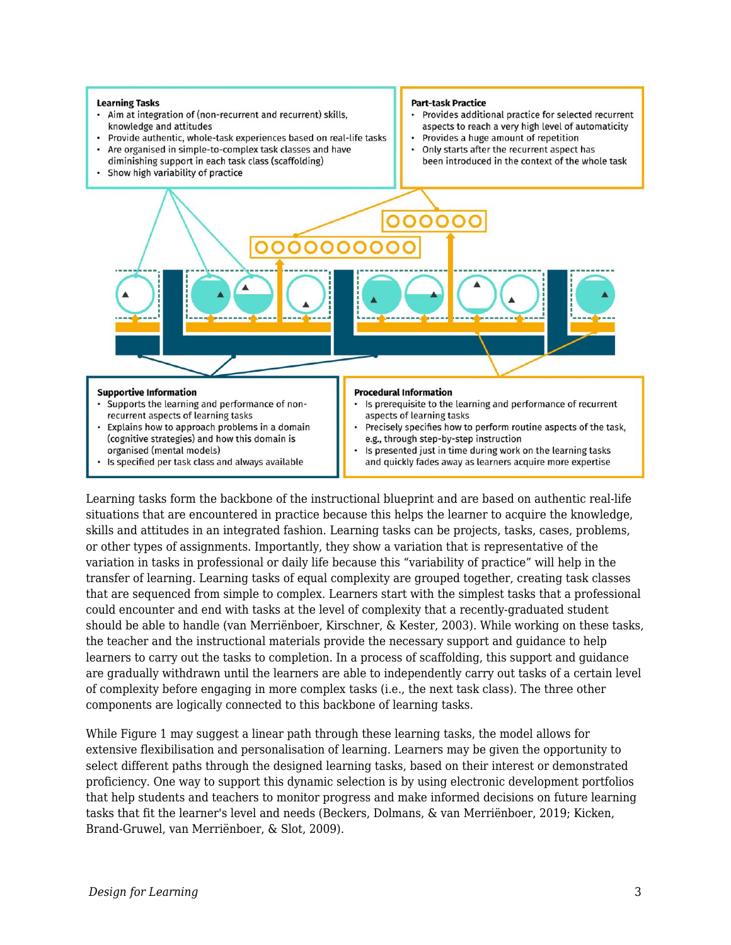

Learning tasks form the backbone of the instructional blueprint and are based on authentic real-life situations that are encountered in practice because this helps the learner to acquire the knowledge, skills and attitudes in an integrated fashion. Learning tasks can be projects, tasks, cases, problems, or other types of assignments. Importantly, they show a variation that is representative of the variation in tasks in professional or daily life because this "variability of practice" will help in the transfer of learning. Learning tasks of equal complexity are grouped together, creating task classes that are sequenced from simple to complex. Learners start with the simplest tasks that a professional could encounter and end with tasks at the level of complexity that a recently‐graduated student should be able to handle (van Merriënboer, Kirschner, & Kester, 2003). While working on these tasks, the teacher and the instructional materials provide the necessary support and guidance to help learners to carry out the tasks to completion. In a process of scaffolding, this support and guidance are gradually withdrawn until the learners are able to independently carry out tasks of a certain level of complexity before engaging in more complex tasks (i.e., the next task class). The three other components are logically connected to this backbone of learning tasks.

While Figure 1 may suggest a linear path through these learning tasks, the model allows for extensive flexibilisation and personalisation of learning. Learners may be given the opportunity to select different paths through the designed learning tasks, based on their interest or demonstrated proficiency. One way to support this dynamic selection is by using electronic development portfolios that help students and teachers to monitor progress and make informed decisions on future learning tasks that fit the learner's level and needs (Beckers, Dolmans, & van Merriënboer, 2019; Kicken, Brand‐Gruwel, van Merriënboer, & Slot, 2009).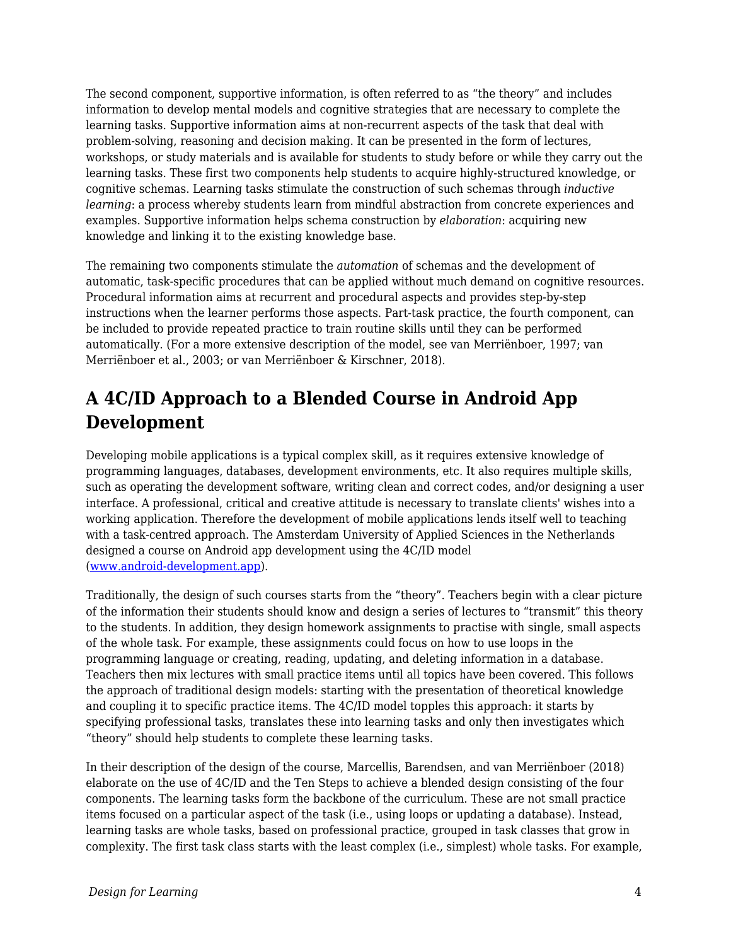The second component, supportive information, is often referred to as "the theory" and includes information to develop mental models and cognitive strategies that are necessary to complete the learning tasks. Supportive information aims at non‐recurrent aspects of the task that deal with problem‐solving, reasoning and decision making. It can be presented in the form of lectures, workshops, or study materials and is available for students to study before or while they carry out the learning tasks. These first two components help students to acquire highly‐structured knowledge, or cognitive schemas. Learning tasks stimulate the construction of such schemas through *inductive learning*: a process whereby students learn from mindful abstraction from concrete experiences and examples. Supportive information helps schema construction by *elaboration*: acquiring new knowledge and linking it to the existing knowledge base.

The remaining two components stimulate the *automation* of schemas and the development of automatic, task‐specific procedures that can be applied without much demand on cognitive resources. Procedural information aims at recurrent and procedural aspects and provides step‐by‐step instructions when the learner performs those aspects. Part-task practice, the fourth component, can be included to provide repeated practice to train routine skills until they can be performed automatically. (For a more extensive description of the model, see van Merriënboer, 1997; van Merriënboer et al., 2003; or van Merriënboer & Kirschner, 2018).

## **A 4C/ID Approach to a Blended Course in Android App Development**

Developing mobile applications is a typical complex skill, as it requires extensive knowledge of programming languages, databases, development environments, etc. It also requires multiple skills, such as operating the development software, writing clean and correct codes, and/or designing a user interface. A professional, critical and creative attitude is necessary to translate clients' wishes into a working application. Therefore the development of mobile applications lends itself well to teaching with a task-centred approach. The Amsterdam University of Applied Sciences in the Netherlands designed a course on Android app development using the 4C/ID model ([www.android-development.app](http://www.android-development.app/)).

Traditionally, the design of such courses starts from the "theory". Teachers begin with a clear picture of the information their students should know and design a series of lectures to "transmit" this theory to the students. In addition, they design homework assignments to practise with single, small aspects of the whole task. For example, these assignments could focus on how to use loops in the programming language or creating, reading, updating, and deleting information in a database. Teachers then mix lectures with small practice items until all topics have been covered. This follows the approach of traditional design models: starting with the presentation of theoretical knowledge and coupling it to specific practice items. The 4C/ID model topples this approach: it starts by specifying professional tasks, translates these into learning tasks and only then investigates which "theory" should help students to complete these learning tasks.

In their description of the design of the course, Marcellis, Barendsen, and van Merriënboer (2018) elaborate on the use of 4C/ID and the Ten Steps to achieve a blended design consisting of the four components. The learning tasks form the backbone of the curriculum. These are not small practice items focused on a particular aspect of the task (i.e., using loops or updating a database). Instead, learning tasks are whole tasks, based on professional practice, grouped in task classes that grow in complexity. The first task class starts with the least complex (i.e., simplest) whole tasks. For example,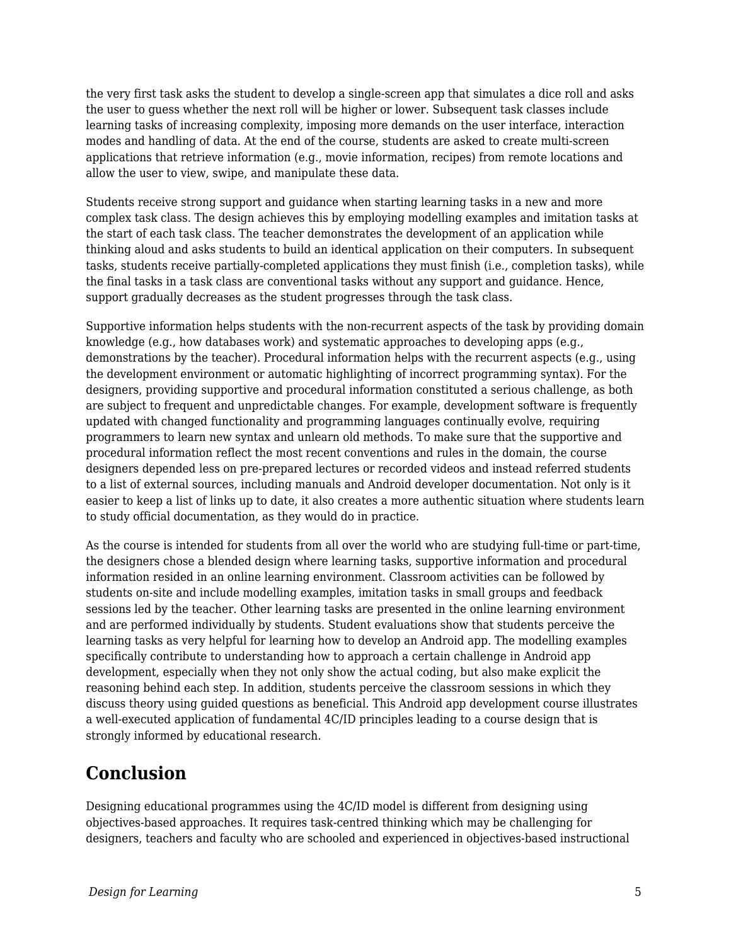the very first task asks the student to develop a single‐screen app that simulates a dice roll and asks the user to guess whether the next roll will be higher or lower. Subsequent task classes include learning tasks of increasing complexity, imposing more demands on the user interface, interaction modes and handling of data. At the end of the course, students are asked to create multi‐screen applications that retrieve information (e.g., movie information, recipes) from remote locations and allow the user to view, swipe, and manipulate these data.

Students receive strong support and guidance when starting learning tasks in a new and more complex task class. The design achieves this by employing modelling examples and imitation tasks at the start of each task class. The teacher demonstrates the development of an application while thinking aloud and asks students to build an identical application on their computers. In subsequent tasks, students receive partially‐completed applications they must finish (i.e., completion tasks), while the final tasks in a task class are conventional tasks without any support and guidance. Hence, support gradually decreases as the student progresses through the task class.

Supportive information helps students with the non-recurrent aspects of the task by providing domain knowledge (e.g., how databases work) and systematic approaches to developing apps (e.g., demonstrations by the teacher). Procedural information helps with the recurrent aspects (e.g., using the development environment or automatic highlighting of incorrect programming syntax). For the designers, providing supportive and procedural information constituted a serious challenge, as both are subject to frequent and unpredictable changes. For example, development software is frequently updated with changed functionality and programming languages continually evolve, requiring programmers to learn new syntax and unlearn old methods. To make sure that the supportive and procedural information reflect the most recent conventions and rules in the domain, the course designers depended less on pre‐prepared lectures or recorded videos and instead referred students to a list of external sources, including manuals and Android developer documentation. Not only is it easier to keep a list of links up to date, it also creates a more authentic situation where students learn to study official documentation, as they would do in practice.

As the course is intended for students from all over the world who are studying full-time or part-time, the designers chose a blended design where learning tasks, supportive information and procedural information resided in an online learning environment. Classroom activities can be followed by students on‐site and include modelling examples, imitation tasks in small groups and feedback sessions led by the teacher. Other learning tasks are presented in the online learning environment and are performed individually by students. Student evaluations show that students perceive the learning tasks as very helpful for learning how to develop an Android app. The modelling examples specifically contribute to understanding how to approach a certain challenge in Android app development, especially when they not only show the actual coding, but also make explicit the reasoning behind each step. In addition, students perceive the classroom sessions in which they discuss theory using guided questions as beneficial. This Android app development course illustrates a well‐executed application of fundamental 4C/ID principles leading to a course design that is strongly informed by educational research.

## **Conclusion**

Designing educational programmes using the 4C/ID model is different from designing using objectives‐based approaches. It requires task‐centred thinking which may be challenging for designers, teachers and faculty who are schooled and experienced in objectives‐based instructional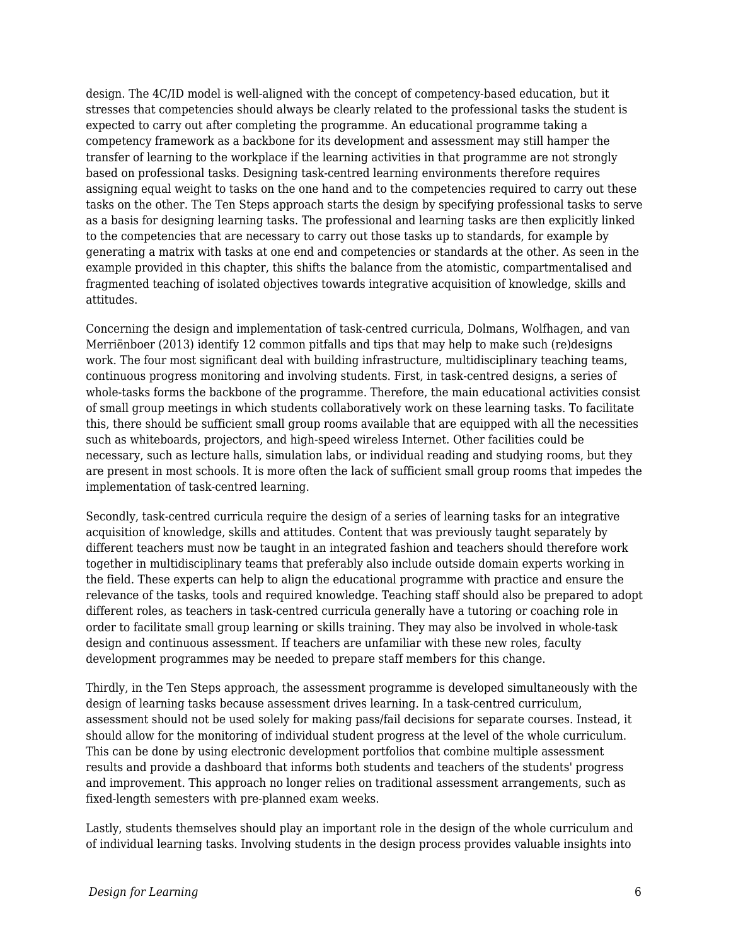design. The 4C/ID model is well-aligned with the concept of competency-based education, but it stresses that competencies should always be clearly related to the professional tasks the student is expected to carry out after completing the programme. An educational programme taking a competency framework as a backbone for its development and assessment may still hamper the transfer of learning to the workplace if the learning activities in that programme are not strongly based on professional tasks. Designing task‐centred learning environments therefore requires assigning equal weight to tasks on the one hand and to the competencies required to carry out these tasks on the other. The Ten Steps approach starts the design by specifying professional tasks to serve as a basis for designing learning tasks. The professional and learning tasks are then explicitly linked to the competencies that are necessary to carry out those tasks up to standards, for example by generating a matrix with tasks at one end and competencies or standards at the other. As seen in the example provided in this chapter, this shifts the balance from the atomistic, compartmentalised and fragmented teaching of isolated objectives towards integrative acquisition of knowledge, skills and attitudes.

Concerning the design and implementation of task‐centred curricula, Dolmans, Wolfhagen, and van Merriënboer (2013) identify 12 common pitfalls and tips that may help to make such (re)designs work. The four most significant deal with building infrastructure, multidisciplinary teaching teams, continuous progress monitoring and involving students. First, in task‐centred designs, a series of whole-tasks forms the backbone of the programme. Therefore, the main educational activities consist of small group meetings in which students collaboratively work on these learning tasks. To facilitate this, there should be sufficient small group rooms available that are equipped with all the necessities such as whiteboards, projectors, and high-speed wireless Internet. Other facilities could be necessary, such as lecture halls, simulation labs, or individual reading and studying rooms, but they are present in most schools. It is more often the lack of sufficient small group rooms that impedes the implementation of task‐centred learning.

Secondly, task-centred curricula require the design of a series of learning tasks for an integrative acquisition of knowledge, skills and attitudes. Content that was previously taught separately by different teachers must now be taught in an integrated fashion and teachers should therefore work together in multidisciplinary teams that preferably also include outside domain experts working in the field. These experts can help to align the educational programme with practice and ensure the relevance of the tasks, tools and required knowledge. Teaching staff should also be prepared to adopt different roles, as teachers in task‐centred curricula generally have a tutoring or coaching role in order to facilitate small group learning or skills training. They may also be involved in whole‐task design and continuous assessment. If teachers are unfamiliar with these new roles, faculty development programmes may be needed to prepare staff members for this change.

Thirdly, in the Ten Steps approach, the assessment programme is developed simultaneously with the design of learning tasks because assessment drives learning. In a task-centred curriculum, assessment should not be used solely for making pass/fail decisions for separate courses. Instead, it should allow for the monitoring of individual student progress at the level of the whole curriculum. This can be done by using electronic development portfolios that combine multiple assessment results and provide a dashboard that informs both students and teachers of the students' progress and improvement. This approach no longer relies on traditional assessment arrangements, such as fixed‐length semesters with pre‐planned exam weeks.

Lastly, students themselves should play an important role in the design of the whole curriculum and of individual learning tasks. Involving students in the design process provides valuable insights into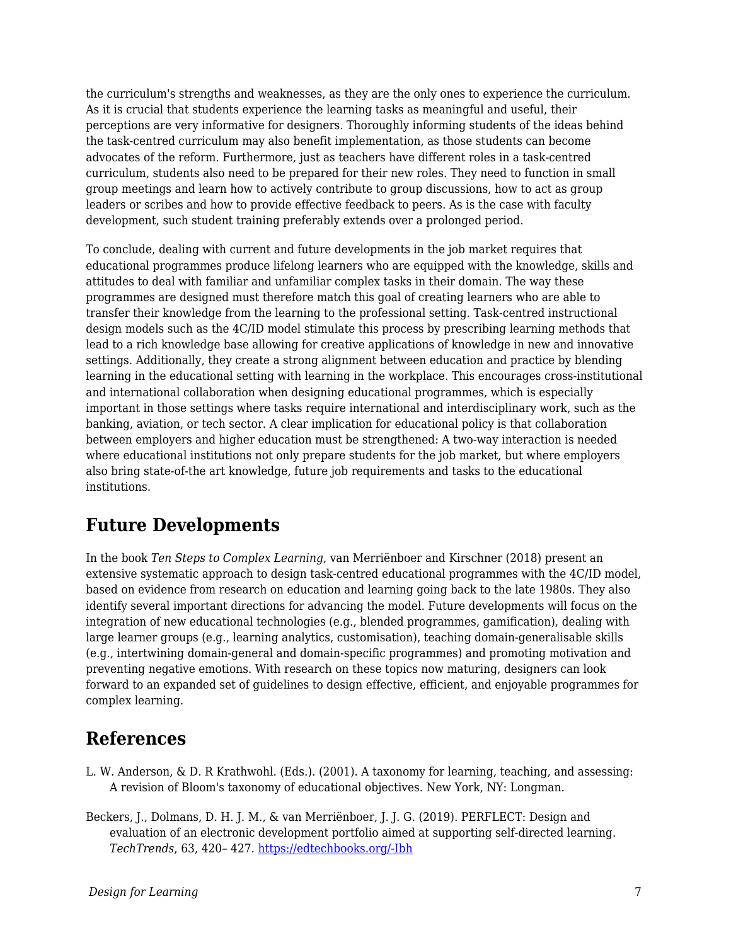the curriculum's strengths and weaknesses, as they are the only ones to experience the curriculum. As it is crucial that students experience the learning tasks as meaningful and useful, their perceptions are very informative for designers. Thoroughly informing students of the ideas behind the task‐centred curriculum may also benefit implementation, as those students can become advocates of the reform. Furthermore, just as teachers have different roles in a task‐centred curriculum, students also need to be prepared for their new roles. They need to function in small group meetings and learn how to actively contribute to group discussions, how to act as group leaders or scribes and how to provide effective feedback to peers. As is the case with faculty development, such student training preferably extends over a prolonged period.

To conclude, dealing with current and future developments in the job market requires that educational programmes produce lifelong learners who are equipped with the knowledge, skills and attitudes to deal with familiar and unfamiliar complex tasks in their domain. The way these programmes are designed must therefore match this goal of creating learners who are able to transfer their knowledge from the learning to the professional setting. Task‐centred instructional design models such as the 4C/ID model stimulate this process by prescribing learning methods that lead to a rich knowledge base allowing for creative applications of knowledge in new and innovative settings. Additionally, they create a strong alignment between education and practice by blending learning in the educational setting with learning in the workplace. This encourages cross-institutional and international collaboration when designing educational programmes, which is especially important in those settings where tasks require international and interdisciplinary work, such as the banking, aviation, or tech sector. A clear implication for educational policy is that collaboration between employers and higher education must be strengthened: A two-way interaction is needed where educational institutions not only prepare students for the job market, but where employers also bring state‐of‐the art knowledge, future job requirements and tasks to the educational institutions.

## **Future Developments**

In the book *Ten Steps to Complex Learning*, van Merriënboer and Kirschner (2018) present an extensive systematic approach to design task-centred educational programmes with the 4C/ID model, based on evidence from research on education and learning going back to the late 1980s. They also identify several important directions for advancing the model. Future developments will focus on the integration of new educational technologies (e.g., blended programmes, gamification), dealing with large learner groups (e.g., learning analytics, customisation), teaching domain‐generalisable skills (e.g., intertwining domain‐general and domain‐specific programmes) and promoting motivation and preventing negative emotions. With research on these topics now maturing, designers can look forward to an expanded set of guidelines to design effective, efficient, and enjoyable programmes for complex learning.

#### **References**

- L. W. Anderson, & D. R Krathwohl. (Eds.). (2001). A taxonomy for learning, teaching, and assessing: A revision of Bloom's taxonomy of educational objectives. New York, NY: Longman.
- Beckers, J., Dolmans, D. H. J. M., & van Merriënboer, J. J. G. (2019). PERFLECT: Design and evaluation of an electronic development portfolio aimed at supporting self-directed learning. *TechTrends*, 63, 420– 427. [https://edtechbooks.org/-Ibh](https://doi.org/10.1007/s11528-018-0354-x)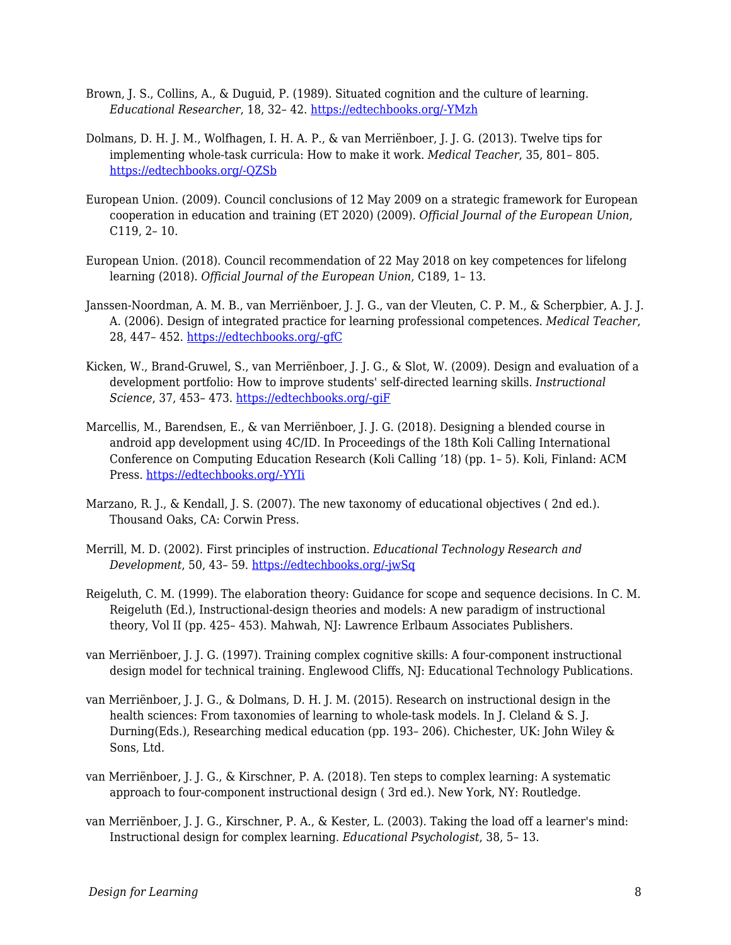- Brown, J. S., Collins, A., & Duguid, P. (1989). Situated cognition and the culture of learning. *Educational Researcher*, 18, 32– 42. [https://edtechbooks.org/-YMzh](https://doi.org/10.3102/0013189X018001032)
- Dolmans, D. H. J. M., Wolfhagen, I. H. A. P., & van Merriënboer, J. J. G. (2013). Twelve tips for implementing whole‐task curricula: How to make it work. *Medical Teacher*, 35, 801– 805. [https://edtechbooks.org/-QZSb](https://doi.org/10.3109/0142159X.2013.799640)
- European Union. (2009). Council conclusions of 12 May 2009 on a strategic framework for European cooperation in education and training (ET 2020) (2009). *Official Journal of the European Union*, C119, 2– 10.
- European Union. (2018). Council recommendation of 22 May 2018 on key competences for lifelong learning (2018). *Official Journal of the European Union*, C189, 1– 13.
- Janssen‐Noordman, A. M. B., van Merriënboer, J. J. G., van der Vleuten, C. P. M., & Scherpbier, A. J. J. A. (2006). Design of integrated practice for learning professional competences. *Medical Teacher*, 28, 447– 452. [https://edtechbooks.org/-gfC](https://doi.org/10.1080/01421590600825276)
- Kicken, W., Brand‐Gruwel, S., van Merriënboer, J. J. G., & Slot, W. (2009). Design and evaluation of a development portfolio: How to improve students' self‐directed learning skills. *Instructional Science*, 37, 453– 473. [https://edtechbooks.org/-giF](https://doi.org/10.1007/s11251-008-9058-5)
- Marcellis, M., Barendsen, E., & van Merriënboer, J. J. G. (2018). Designing a blended course in android app development using 4C/ID. In Proceedings of the 18th Koli Calling International Conference on Computing Education Research (Koli Calling '18) (pp. 1– 5). Koli, Finland: ACM Press. [https://edtechbooks.org/-YYIi](https://doi.org/10.1145/3279720.3279739)
- Marzano, R. J., & Kendall, J. S. (2007). The new taxonomy of educational objectives ( 2nd ed.). Thousand Oaks, CA: Corwin Press.
- Merrill, M. D. (2002). First principles of instruction. *Educational Technology Research and Development*, 50, 43– 59. [https://edtechbooks.org/-jwSq](https://doi.org/10.1007/BF02505024)
- Reigeluth, C. M. (1999). The elaboration theory: Guidance for scope and sequence decisions. In C. M. Reigeluth (Ed.), Instructional‐design theories and models: A new paradigm of instructional theory, Vol II (pp. 425– 453). Mahwah, NJ: Lawrence Erlbaum Associates Publishers.
- van Merriënboer, J. J. G. (1997). Training complex cognitive skills: A four‐component instructional design model for technical training. Englewood Cliffs, NJ: Educational Technology Publications.
- van Merriënboer, J. J. G., & Dolmans, D. H. J. M. (2015). Research on instructional design in the health sciences: From taxonomies of learning to whole-task models. In J. Cleland & S. J. Durning(Eds.), Researching medical education (pp. 193– 206). Chichester, UK: John Wiley & Sons, Ltd.
- van Merriënboer, J. J. G., & Kirschner, P. A. (2018). Ten steps to complex learning: A systematic approach to four‐component instructional design ( 3rd ed.). New York, NY: Routledge.
- van Merriënboer, J. J. G., Kirschner, P. A., & Kester, L. (2003). Taking the load off a learner's mind: Instructional design for complex learning. *Educational Psychologist*, 38, 5– 13.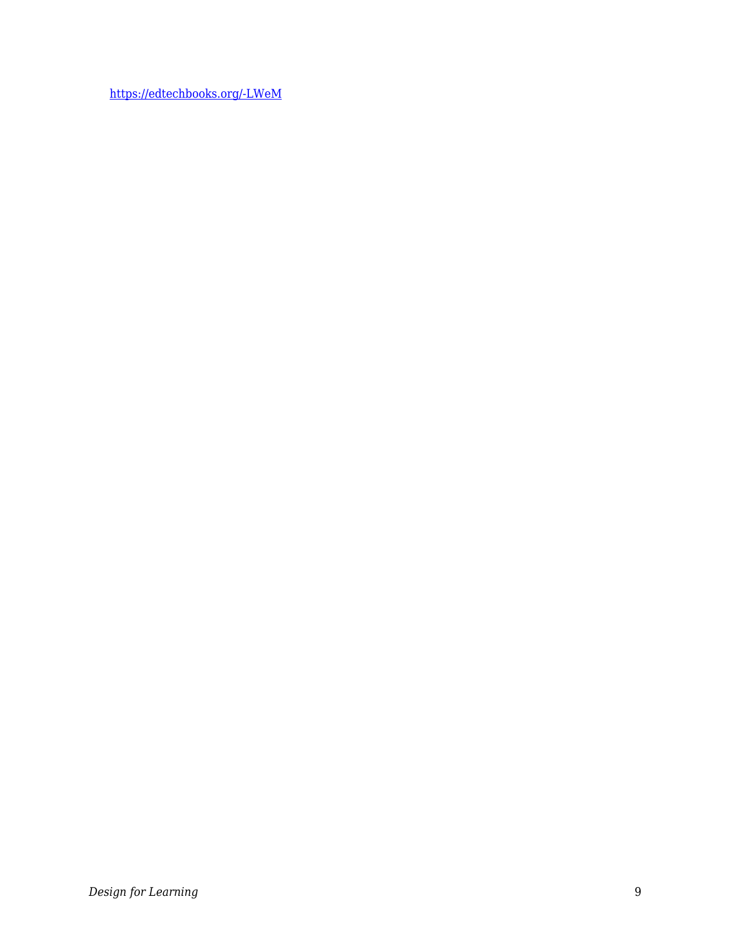[https://edtechbooks.org/-LWeM](https://doi.org/10.1207/S15326985EP3801_2)